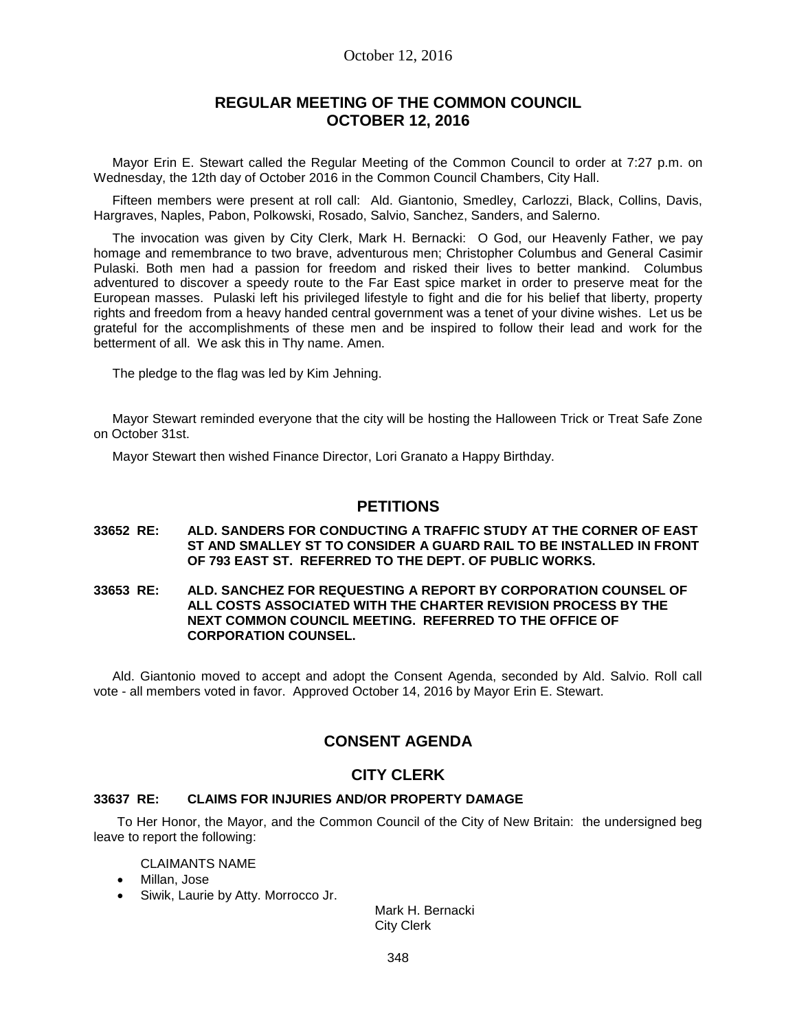## October 12, 2016

# **REGULAR MEETING OF THE COMMON COUNCIL OCTOBER 12, 2016**

Mayor Erin E. Stewart called the Regular Meeting of the Common Council to order at 7:27 p.m. on Wednesday, the 12th day of October 2016 in the Common Council Chambers, City Hall.

Fifteen members were present at roll call: Ald. Giantonio, Smedley, Carlozzi, Black, Collins, Davis, Hargraves, Naples, Pabon, Polkowski, Rosado, Salvio, Sanchez, Sanders, and Salerno.

The invocation was given by City Clerk, Mark H. Bernacki: O God, our Heavenly Father, we pay homage and remembrance to two brave, adventurous men; Christopher Columbus and General Casimir Pulaski. Both men had a passion for freedom and risked their lives to better mankind. Columbus adventured to discover a speedy route to the Far East spice market in order to preserve meat for the European masses. Pulaski left his privileged lifestyle to fight and die for his belief that liberty, property rights and freedom from a heavy handed central government was a tenet of your divine wishes. Let us be grateful for the accomplishments of these men and be inspired to follow their lead and work for the betterment of all. We ask this in Thy name. Amen.

The pledge to the flag was led by Kim Jehning.

Mayor Stewart reminded everyone that the city will be hosting the Halloween Trick or Treat Safe Zone on October 31st.

Mayor Stewart then wished Finance Director, Lori Granato a Happy Birthday.

## **PETITIONS**

#### **33652 RE: ALD. SANDERS FOR CONDUCTING A TRAFFIC STUDY AT THE CORNER OF EAST ST AND SMALLEY ST TO CONSIDER A GUARD RAIL TO BE INSTALLED IN FRONT OF 793 EAST ST. REFERRED TO THE DEPT. OF PUBLIC WORKS.**

#### **33653 RE: ALD. SANCHEZ FOR REQUESTING A REPORT BY CORPORATION COUNSEL OF ALL COSTS ASSOCIATED WITH THE CHARTER REVISION PROCESS BY THE NEXT COMMON COUNCIL MEETING. REFERRED TO THE OFFICE OF CORPORATION COUNSEL.**

Ald. Giantonio moved to accept and adopt the Consent Agenda, seconded by Ald. Salvio. Roll call vote - all members voted in favor. Approved October 14, 2016 by Mayor Erin E. Stewart.

# **CONSENT AGENDA**

## **CITY CLERK**

### **33637 RE: CLAIMS FOR INJURIES AND/OR PROPERTY DAMAGE**

To Her Honor, the Mayor, and the Common Council of the City of New Britain: the undersigned beg leave to report the following:

CLAIMANTS NAME

- Millan, Jose
- Siwik, Laurie by Atty. Morrocco Jr.

Mark H. Bernacki City Clerk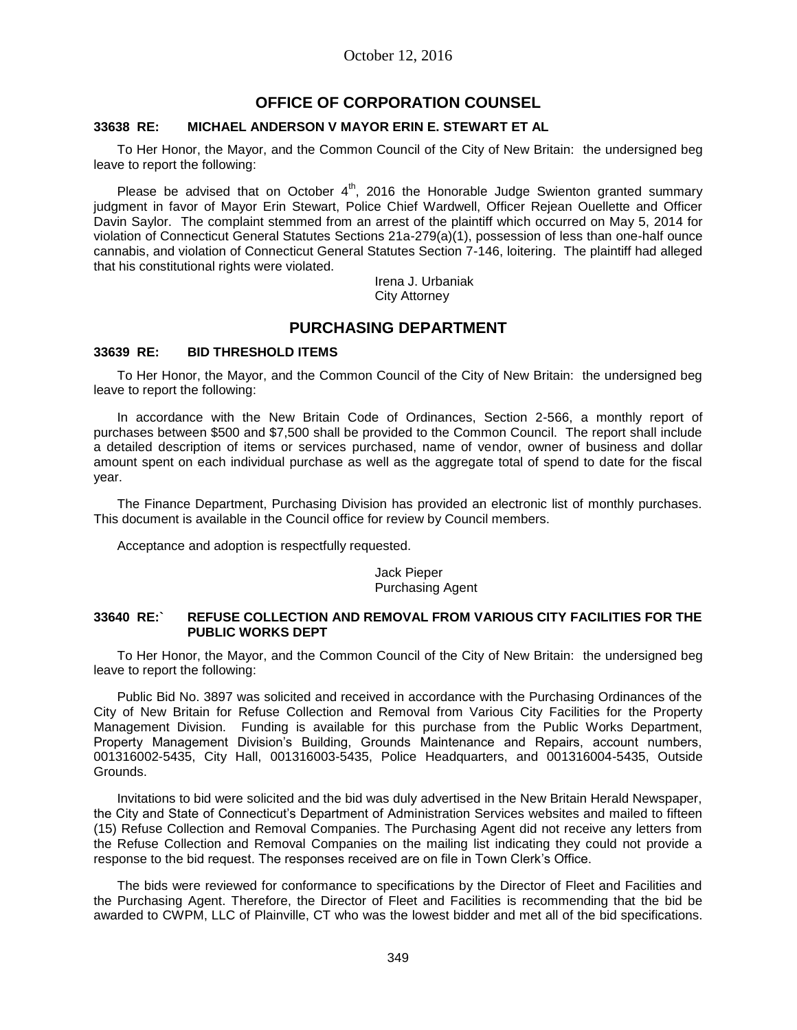# **OFFICE OF CORPORATION COUNSEL**

#### **33638 RE: MICHAEL ANDERSON V MAYOR ERIN E. STEWART ET AL**

To Her Honor, the Mayor, and the Common Council of the City of New Britain: the undersigned beg leave to report the following:

Please be advised that on October  $4<sup>th</sup>$ , 2016 the Honorable Judge Swienton granted summary judgment in favor of Mayor Erin Stewart, Police Chief Wardwell, Officer Rejean Ouellette and Officer Davin Saylor. The complaint stemmed from an arrest of the plaintiff which occurred on May 5, 2014 for violation of Connecticut General Statutes Sections 21a-279(a)(1), possession of less than one-half ounce cannabis, and violation of Connecticut General Statutes Section 7-146, loitering. The plaintiff had alleged that his constitutional rights were violated.

> Irena J. Urbaniak City Attorney

## **PURCHASING DEPARTMENT**

### **33639 RE: BID THRESHOLD ITEMS**

To Her Honor, the Mayor, and the Common Council of the City of New Britain: the undersigned beg leave to report the following:

In accordance with the New Britain Code of Ordinances, Section 2-566, a monthly report of purchases between \$500 and \$7,500 shall be provided to the Common Council. The report shall include a detailed description of items or services purchased, name of vendor, owner of business and dollar amount spent on each individual purchase as well as the aggregate total of spend to date for the fiscal year.

The Finance Department, Purchasing Division has provided an electronic list of monthly purchases. This document is available in the Council office for review by Council members.

Acceptance and adoption is respectfully requested.

#### Jack Pieper Purchasing Agent

#### **33640 RE:` REFUSE COLLECTION AND REMOVAL FROM VARIOUS CITY FACILITIES FOR THE PUBLIC WORKS DEPT**

To Her Honor, the Mayor, and the Common Council of the City of New Britain: the undersigned beg leave to report the following:

Public Bid No. 3897 was solicited and received in accordance with the Purchasing Ordinances of the City of New Britain for Refuse Collection and Removal from Various City Facilities for the Property Management Division. Funding is available for this purchase from the Public Works Department, Property Management Division's Building, Grounds Maintenance and Repairs, account numbers, 001316002-5435, City Hall, 001316003-5435, Police Headquarters, and 001316004-5435, Outside Grounds.

Invitations to bid were solicited and the bid was duly advertised in the New Britain Herald Newspaper, the City and State of Connecticut's Department of Administration Services websites and mailed to fifteen (15) Refuse Collection and Removal Companies. The Purchasing Agent did not receive any letters from the Refuse Collection and Removal Companies on the mailing list indicating they could not provide a response to the bid request. The responses received are on file in Town Clerk's Office.

The bids were reviewed for conformance to specifications by the Director of Fleet and Facilities and the Purchasing Agent. Therefore, the Director of Fleet and Facilities is recommending that the bid be awarded to CWPM, LLC of Plainville, CT who was the lowest bidder and met all of the bid specifications.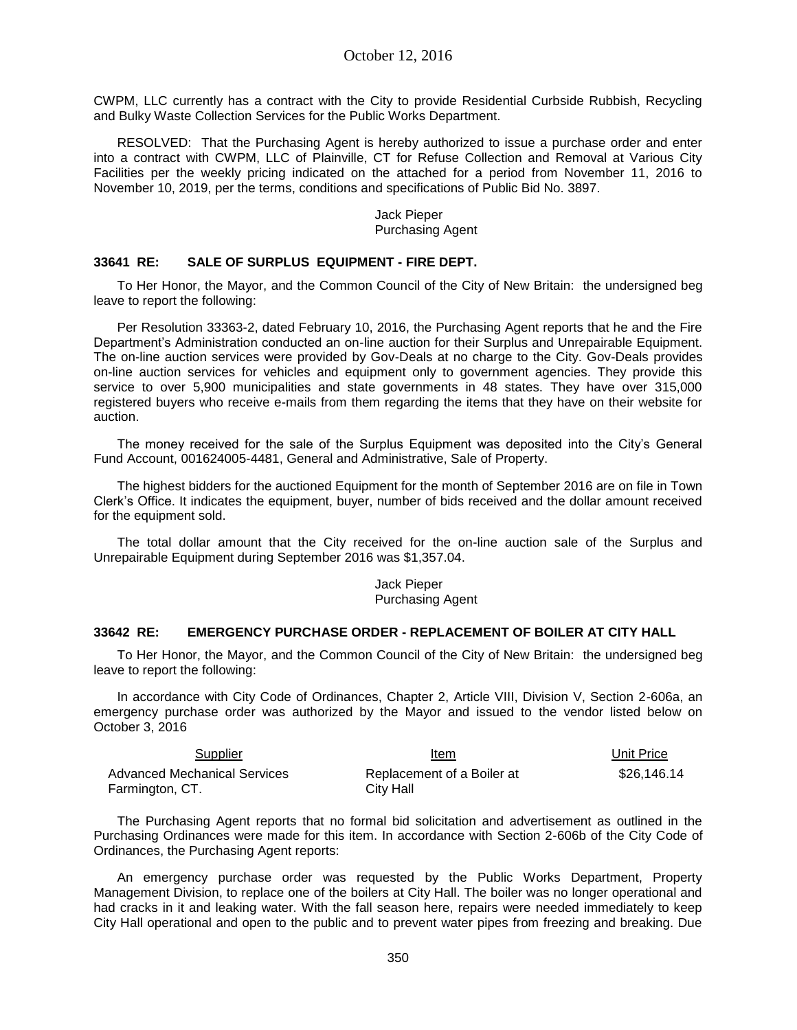CWPM, LLC currently has a contract with the City to provide Residential Curbside Rubbish, Recycling and Bulky Waste Collection Services for the Public Works Department.

RESOLVED: That the Purchasing Agent is hereby authorized to issue a purchase order and enter into a contract with CWPM, LLC of Plainville, CT for Refuse Collection and Removal at Various City Facilities per the weekly pricing indicated on the attached for a period from November 11, 2016 to November 10, 2019, per the terms, conditions and specifications of Public Bid No. 3897.

> Jack Pieper Purchasing Agent

### **33641 RE: SALE OF SURPLUS EQUIPMENT - FIRE DEPT.**

To Her Honor, the Mayor, and the Common Council of the City of New Britain: the undersigned beg leave to report the following:

Per Resolution 33363-2, dated February 10, 2016, the Purchasing Agent reports that he and the Fire Department's Administration conducted an on-line auction for their Surplus and Unrepairable Equipment. The on-line auction services were provided by Gov-Deals at no charge to the City. Gov-Deals provides on-line auction services for vehicles and equipment only to government agencies. They provide this service to over 5,900 municipalities and state governments in 48 states. They have over 315,000 registered buyers who receive e-mails from them regarding the items that they have on their website for auction.

The money received for the sale of the Surplus Equipment was deposited into the City's General Fund Account, 001624005-4481, General and Administrative, Sale of Property.

The highest bidders for the auctioned Equipment for the month of September 2016 are on file in Town Clerk's Office. It indicates the equipment, buyer, number of bids received and the dollar amount received for the equipment sold.

The total dollar amount that the City received for the on-line auction sale of the Surplus and Unrepairable Equipment during September 2016 was \$1,357.04.

> Jack Pieper Purchasing Agent

#### **33642 RE: EMERGENCY PURCHASE ORDER - REPLACEMENT OF BOILER AT CITY HALL**

To Her Honor, the Mayor, and the Common Council of the City of New Britain: the undersigned beg leave to report the following:

In accordance with City Code of Ordinances, Chapter 2, Article VIII, Division V, Section 2-606a, an emergency purchase order was authorized by the Mayor and issued to the vendor listed below on October 3, 2016

| Supplier                     | Item                       | Unit Price  |
|------------------------------|----------------------------|-------------|
| Advanced Mechanical Services | Replacement of a Boiler at | \$26.146.14 |
| Farmington, CT.              | City Hall                  |             |

The Purchasing Agent reports that no formal bid solicitation and advertisement as outlined in the Purchasing Ordinances were made for this item. In accordance with Section 2-606b of the City Code of Ordinances, the Purchasing Agent reports:

An emergency purchase order was requested by the Public Works Department, Property Management Division, to replace one of the boilers at City Hall. The boiler was no longer operational and had cracks in it and leaking water. With the fall season here, repairs were needed immediately to keep City Hall operational and open to the public and to prevent water pipes from freezing and breaking. Due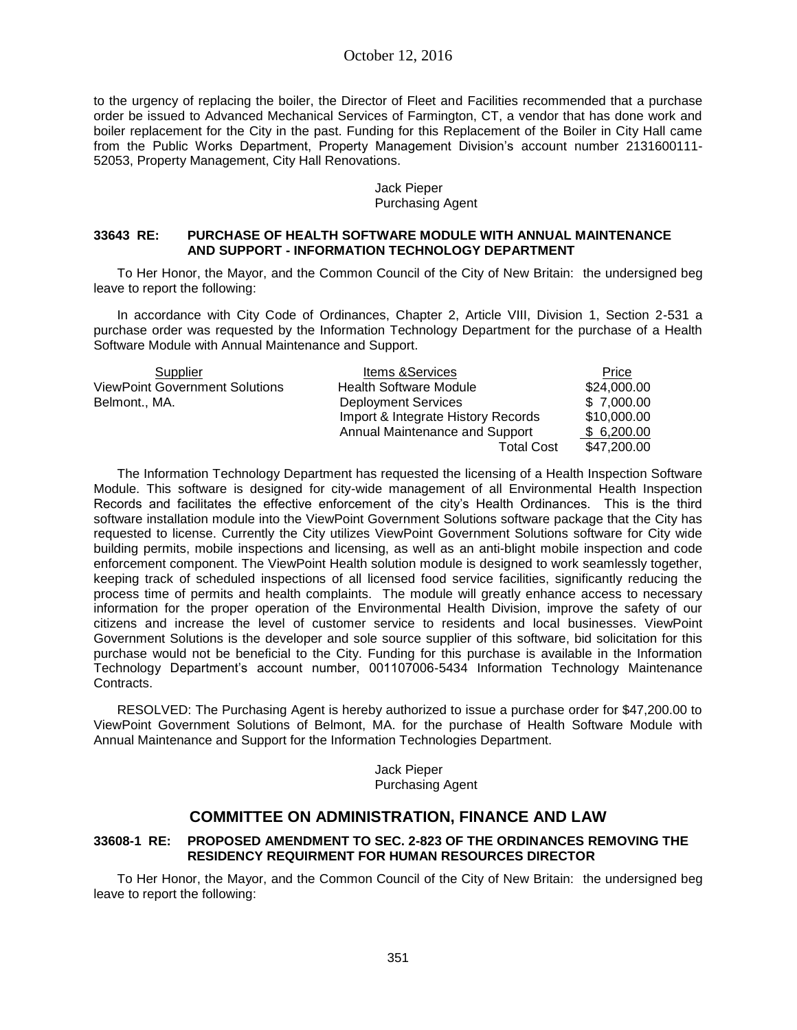to the urgency of replacing the boiler, the Director of Fleet and Facilities recommended that a purchase order be issued to Advanced Mechanical Services of Farmington, CT, a vendor that has done work and boiler replacement for the City in the past. Funding for this Replacement of the Boiler in City Hall came from the Public Works Department, Property Management Division's account number 2131600111- 52053, Property Management, City Hall Renovations.

### Jack Pieper Purchasing Agent

### **33643 RE: PURCHASE OF HEALTH SOFTWARE MODULE WITH ANNUAL MAINTENANCE AND SUPPORT - INFORMATION TECHNOLOGY DEPARTMENT**

To Her Honor, the Mayor, and the Common Council of the City of New Britain: the undersigned beg leave to report the following:

In accordance with City Code of Ordinances, Chapter 2, Article VIII, Division 1, Section 2-531 a purchase order was requested by the Information Technology Department for the purchase of a Health Software Module with Annual Maintenance and Support.

| Supplier                              | <b>Items &amp; Services</b>        | Price       |
|---------------------------------------|------------------------------------|-------------|
| <b>ViewPoint Government Solutions</b> | <b>Health Software Module</b>      | \$24,000.00 |
| Belmont., MA.                         | <b>Deployment Services</b>         | \$7,000.00  |
|                                       | Import & Integrate History Records | \$10,000.00 |
|                                       | Annual Maintenance and Support     | \$6,200.00  |
|                                       | <b>Total Cost</b>                  | \$47,200.00 |

The Information Technology Department has requested the licensing of a Health Inspection Software Module. This software is designed for city-wide management of all Environmental Health Inspection Records and facilitates the effective enforcement of the city's Health Ordinances. This is the third software installation module into the ViewPoint Government Solutions software package that the City has requested to license. Currently the City utilizes ViewPoint Government Solutions software for City wide building permits, mobile inspections and licensing, as well as an anti-blight mobile inspection and code enforcement component. The ViewPoint Health solution module is designed to work seamlessly together, keeping track of scheduled inspections of all licensed food service facilities, significantly reducing the process time of permits and health complaints. The module will greatly enhance access to necessary information for the proper operation of the Environmental Health Division, improve the safety of our citizens and increase the level of customer service to residents and local businesses. ViewPoint Government Solutions is the developer and sole source supplier of this software, bid solicitation for this purchase would not be beneficial to the City. Funding for this purchase is available in the Information Technology Department's account number, 001107006-5434 Information Technology Maintenance Contracts.

RESOLVED: The Purchasing Agent is hereby authorized to issue a purchase order for \$47,200.00 to ViewPoint Government Solutions of Belmont, MA. for the purchase of Health Software Module with Annual Maintenance and Support for the Information Technologies Department.

> Jack Pieper Purchasing Agent

# **COMMITTEE ON ADMINISTRATION, FINANCE AND LAW**

### **33608-1 RE: PROPOSED AMENDMENT TO SEC. 2-823 OF THE ORDINANCES REMOVING THE RESIDENCY REQUIRMENT FOR HUMAN RESOURCES DIRECTOR**

To Her Honor, the Mayor, and the Common Council of the City of New Britain: the undersigned beg leave to report the following: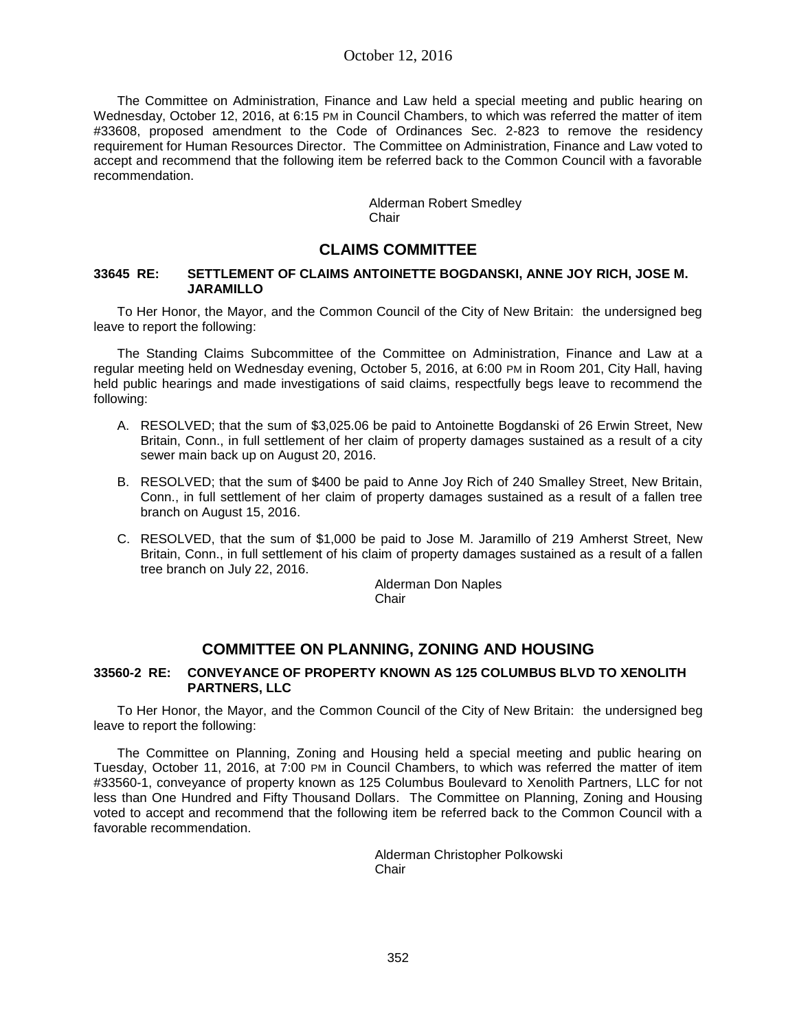The Committee on Administration, Finance and Law held a special meeting and public hearing on Wednesday, October 12, 2016, at 6:15 PM in Council Chambers, to which was referred the matter of item #33608, proposed amendment to the Code of Ordinances Sec. 2-823 to remove the residency requirement for Human Resources Director. The Committee on Administration, Finance and Law voted to accept and recommend that the following item be referred back to the Common Council with a favorable recommendation.

> Alderman Robert Smedley **Chair**

# **CLAIMS COMMITTEE**

## **33645 RE: SETTLEMENT OF CLAIMS ANTOINETTE BOGDANSKI, ANNE JOY RICH, JOSE M. JARAMILLO**

To Her Honor, the Mayor, and the Common Council of the City of New Britain: the undersigned beg leave to report the following:

The Standing Claims Subcommittee of the Committee on Administration, Finance and Law at a regular meeting held on Wednesday evening, October 5, 2016, at 6:00 PM in Room 201, City Hall, having held public hearings and made investigations of said claims, respectfully begs leave to recommend the following:

- A. RESOLVED; that the sum of \$3,025.06 be paid to Antoinette Bogdanski of 26 Erwin Street, New Britain, Conn., in full settlement of her claim of property damages sustained as a result of a city sewer main back up on August 20, 2016.
- B. RESOLVED; that the sum of \$400 be paid to Anne Joy Rich of 240 Smalley Street, New Britain, Conn., in full settlement of her claim of property damages sustained as a result of a fallen tree branch on August 15, 2016.
- C. RESOLVED, that the sum of \$1,000 be paid to Jose M. Jaramillo of 219 Amherst Street, New Britain, Conn., in full settlement of his claim of property damages sustained as a result of a fallen tree branch on July 22, 2016.

Alderman Don Naples **Chair** 

# **COMMITTEE ON PLANNING, ZONING AND HOUSING**

### **33560-2 RE: CONVEYANCE OF PROPERTY KNOWN AS 125 COLUMBUS BLVD TO XENOLITH PARTNERS, LLC**

To Her Honor, the Mayor, and the Common Council of the City of New Britain: the undersigned beg leave to report the following:

The Committee on Planning, Zoning and Housing held a special meeting and public hearing on Tuesday, October 11, 2016, at 7:00 PM in Council Chambers, to which was referred the matter of item #33560-1, conveyance of property known as 125 Columbus Boulevard to Xenolith Partners, LLC for not less than One Hundred and Fifty Thousand Dollars. The Committee on Planning, Zoning and Housing voted to accept and recommend that the following item be referred back to the Common Council with a favorable recommendation.

> Alderman Christopher Polkowski Chair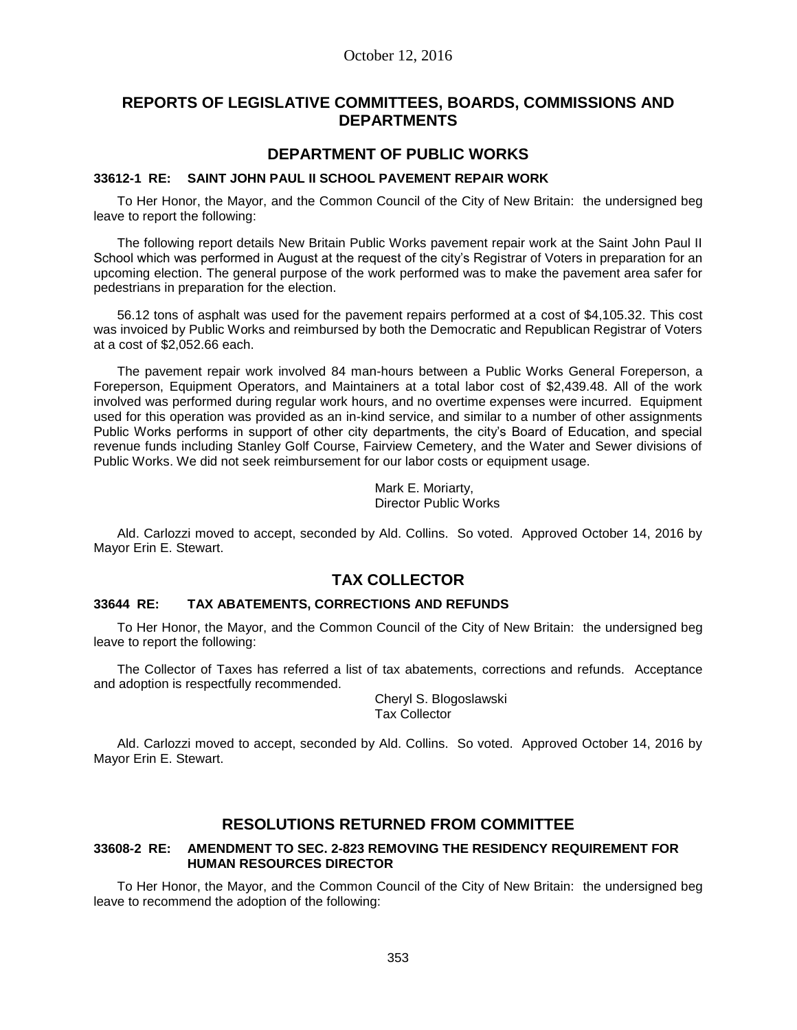# **REPORTS OF LEGISLATIVE COMMITTEES, BOARDS, COMMISSIONS AND DEPARTMENTS**

## **DEPARTMENT OF PUBLIC WORKS**

#### **33612-1 RE: SAINT JOHN PAUL II SCHOOL PAVEMENT REPAIR WORK**

To Her Honor, the Mayor, and the Common Council of the City of New Britain: the undersigned beg leave to report the following:

The following report details New Britain Public Works pavement repair work at the Saint John Paul II School which was performed in August at the request of the city's Registrar of Voters in preparation for an upcoming election. The general purpose of the work performed was to make the pavement area safer for pedestrians in preparation for the election.

56.12 tons of asphalt was used for the pavement repairs performed at a cost of \$4,105.32. This cost was invoiced by Public Works and reimbursed by both the Democratic and Republican Registrar of Voters at a cost of \$2,052.66 each.

The pavement repair work involved 84 man-hours between a Public Works General Foreperson, a Foreperson, Equipment Operators, and Maintainers at a total labor cost of \$2,439.48. All of the work involved was performed during regular work hours, and no overtime expenses were incurred. Equipment used for this operation was provided as an in-kind service, and similar to a number of other assignments Public Works performs in support of other city departments, the city's Board of Education, and special revenue funds including Stanley Golf Course, Fairview Cemetery, and the Water and Sewer divisions of Public Works. We did not seek reimbursement for our labor costs or equipment usage.

> Mark E. Moriarty, Director Public Works

Ald. Carlozzi moved to accept, seconded by Ald. Collins. So voted. Approved October 14, 2016 by Mayor Erin E. Stewart.

# **TAX COLLECTOR**

### **33644 RE: TAX ABATEMENTS, CORRECTIONS AND REFUNDS**

To Her Honor, the Mayor, and the Common Council of the City of New Britain: the undersigned beg leave to report the following:

The Collector of Taxes has referred a list of tax abatements, corrections and refunds. Acceptance and adoption is respectfully recommended.

> Cheryl S. Blogoslawski Tax Collector

Ald. Carlozzi moved to accept, seconded by Ald. Collins. So voted. Approved October 14, 2016 by Mayor Erin E. Stewart.

# **RESOLUTIONS RETURNED FROM COMMITTEE**

### **33608-2 RE: AMENDMENT TO SEC. 2-823 REMOVING THE RESIDENCY REQUIREMENT FOR HUMAN RESOURCES DIRECTOR**

To Her Honor, the Mayor, and the Common Council of the City of New Britain: the undersigned beg leave to recommend the adoption of the following: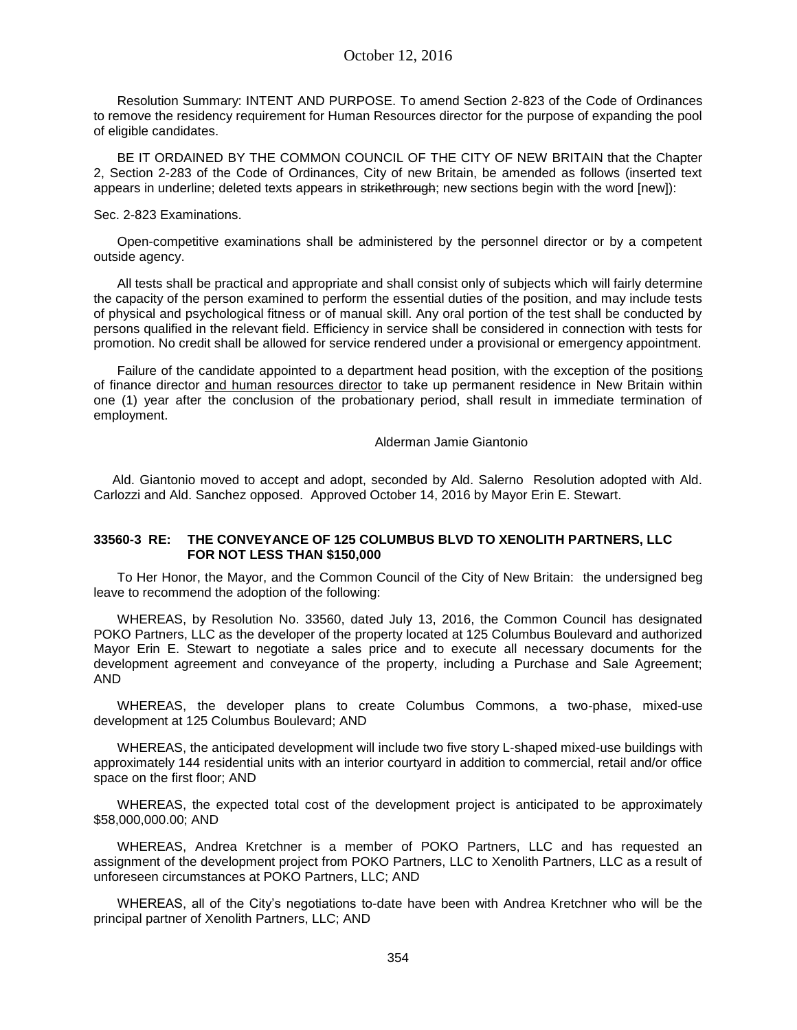Resolution Summary: INTENT AND PURPOSE. To amend Section 2-823 of the Code of Ordinances to remove the residency requirement for Human Resources director for the purpose of expanding the pool of eligible candidates.

BE IT ORDAINED BY THE COMMON COUNCIL OF THE CITY OF NEW BRITAIN that the Chapter 2, Section 2-283 of the Code of Ordinances, City of new Britain, be amended as follows (inserted text appears in underline; deleted texts appears in strikethrough; new sections begin with the word [new]):

#### Sec. 2-823 Examinations.

Open-competitive examinations shall be administered by the personnel director or by a competent outside agency.

All tests shall be practical and appropriate and shall consist only of subjects which will fairly determine the capacity of the person examined to perform the essential duties of the position, and may include tests of physical and psychological fitness or of manual skill. Any oral portion of the test shall be conducted by persons qualified in the relevant field. Efficiency in service shall be considered in connection with tests for promotion. No credit shall be allowed for service rendered under a provisional or emergency appointment.

Failure of the candidate appointed to a department head position, with the exception of the positions of finance director and human resources director to take up permanent residence in New Britain within one (1) year after the conclusion of the probationary period, shall result in immediate termination of employment.

Alderman Jamie Giantonio

Ald. Giantonio moved to accept and adopt, seconded by Ald. Salerno Resolution adopted with Ald. Carlozzi and Ald. Sanchez opposed. Approved October 14, 2016 by Mayor Erin E. Stewart.

### **33560-3 RE: THE CONVEYANCE OF 125 COLUMBUS BLVD TO XENOLITH PARTNERS, LLC FOR NOT LESS THAN \$150,000**

To Her Honor, the Mayor, and the Common Council of the City of New Britain: the undersigned beg leave to recommend the adoption of the following:

WHEREAS, by Resolution No. 33560, dated July 13, 2016, the Common Council has designated POKO Partners, LLC as the developer of the property located at 125 Columbus Boulevard and authorized Mayor Erin E. Stewart to negotiate a sales price and to execute all necessary documents for the development agreement and conveyance of the property, including a Purchase and Sale Agreement; AND

WHEREAS, the developer plans to create Columbus Commons, a two-phase, mixed-use development at 125 Columbus Boulevard; AND

WHEREAS, the anticipated development will include two five story L-shaped mixed-use buildings with approximately 144 residential units with an interior courtyard in addition to commercial, retail and/or office space on the first floor; AND

WHEREAS, the expected total cost of the development project is anticipated to be approximately \$58,000,000.00; AND

WHEREAS, Andrea Kretchner is a member of POKO Partners, LLC and has requested an assignment of the development project from POKO Partners, LLC to Xenolith Partners, LLC as a result of unforeseen circumstances at POKO Partners, LLC; AND

WHEREAS, all of the City's negotiations to-date have been with Andrea Kretchner who will be the principal partner of Xenolith Partners, LLC; AND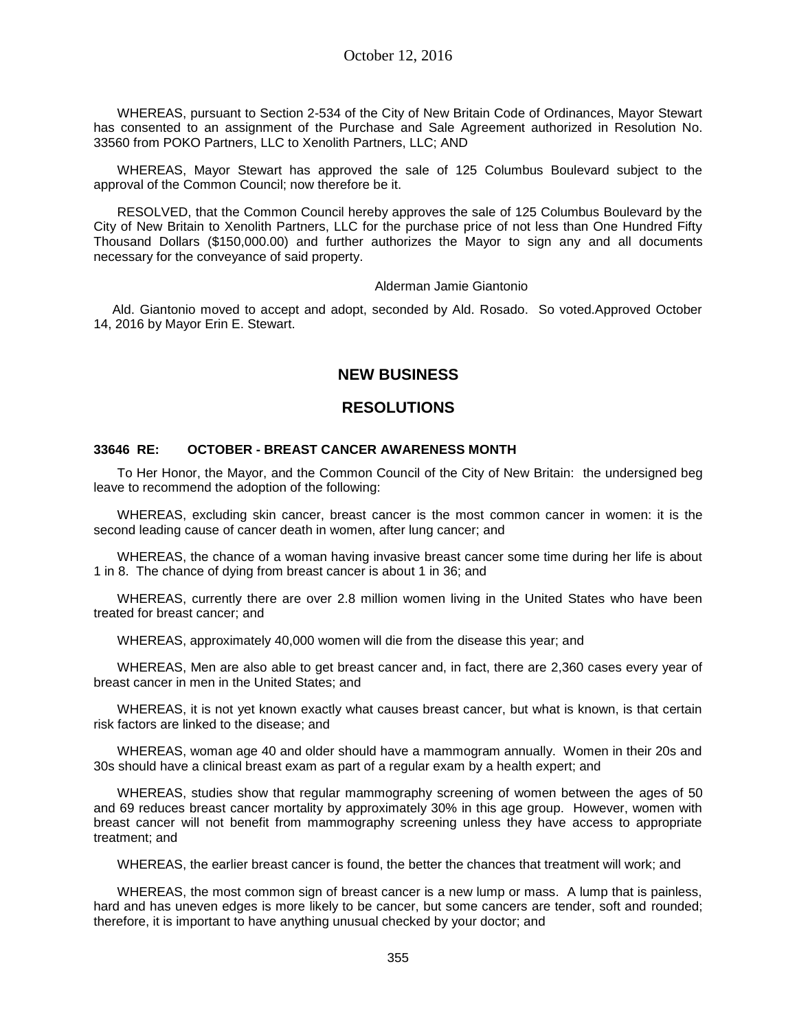WHEREAS, pursuant to Section 2-534 of the City of New Britain Code of Ordinances, Mayor Stewart has consented to an assignment of the Purchase and Sale Agreement authorized in Resolution No. 33560 from POKO Partners, LLC to Xenolith Partners, LLC; AND

WHEREAS, Mayor Stewart has approved the sale of 125 Columbus Boulevard subject to the approval of the Common Council; now therefore be it.

RESOLVED, that the Common Council hereby approves the sale of 125 Columbus Boulevard by the City of New Britain to Xenolith Partners, LLC for the purchase price of not less than One Hundred Fifty Thousand Dollars (\$150,000.00) and further authorizes the Mayor to sign any and all documents necessary for the conveyance of said property.

Alderman Jamie Giantonio

Ald. Giantonio moved to accept and adopt, seconded by Ald. Rosado. So voted.Approved October 14, 2016 by Mayor Erin E. Stewart.

# **NEW BUSINESS**

# **RESOLUTIONS**

### **33646 RE: OCTOBER - BREAST CANCER AWARENESS MONTH**

To Her Honor, the Mayor, and the Common Council of the City of New Britain: the undersigned beg leave to recommend the adoption of the following:

WHEREAS, excluding skin cancer, breast cancer is the most common cancer in women: it is the second leading cause of cancer death in women, after lung cancer; and

WHEREAS, the chance of a woman having invasive breast cancer some time during her life is about 1 in 8. The chance of dying from breast cancer is about 1 in 36; and

WHEREAS, currently there are over 2.8 million women living in the United States who have been treated for breast cancer; and

WHEREAS, approximately 40,000 women will die from the disease this year; and

WHEREAS, Men are also able to get breast cancer and, in fact, there are 2,360 cases every year of breast cancer in men in the United States; and

WHEREAS, it is not yet known exactly what causes breast cancer, but what is known, is that certain risk factors are linked to the disease; and

WHEREAS, woman age 40 and older should have a mammogram annually. Women in their 20s and 30s should have a clinical breast exam as part of a regular exam by a health expert; and

WHEREAS, studies show that regular mammography screening of women between the ages of 50 and 69 reduces breast cancer mortality by approximately 30% in this age group. However, women with breast cancer will not benefit from mammography screening unless they have access to appropriate treatment; and

WHEREAS, the earlier breast cancer is found, the better the chances that treatment will work; and

WHEREAS, the most common sign of breast cancer is a new lump or mass. A lump that is painless, hard and has uneven edges is more likely to be cancer, but some cancers are tender, soft and rounded; therefore, it is important to have anything unusual checked by your doctor; and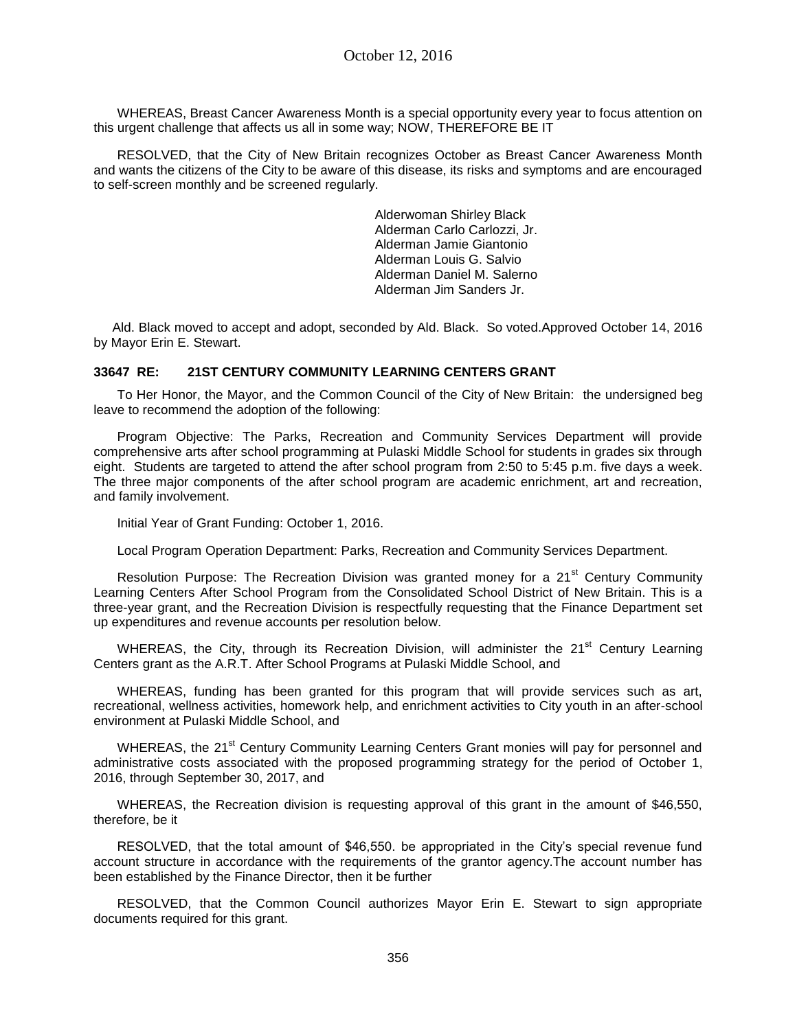WHEREAS, Breast Cancer Awareness Month is a special opportunity every year to focus attention on this urgent challenge that affects us all in some way; NOW, THEREFORE BE IT

RESOLVED, that the City of New Britain recognizes October as Breast Cancer Awareness Month and wants the citizens of the City to be aware of this disease, its risks and symptoms and are encouraged to self-screen monthly and be screened regularly.

> Alderwoman Shirley Black Alderman Carlo Carlozzi, Jr. Alderman Jamie Giantonio Alderman Louis G. Salvio Alderman Daniel M. Salerno Alderman Jim Sanders Jr.

Ald. Black moved to accept and adopt, seconded by Ald. Black. So voted.Approved October 14, 2016 by Mayor Erin E. Stewart.

### **33647 RE: 21ST CENTURY COMMUNITY LEARNING CENTERS GRANT**

To Her Honor, the Mayor, and the Common Council of the City of New Britain: the undersigned beg leave to recommend the adoption of the following:

Program Objective: The Parks, Recreation and Community Services Department will provide comprehensive arts after school programming at Pulaski Middle School for students in grades six through eight. Students are targeted to attend the after school program from 2:50 to 5:45 p.m. five days a week. The three major components of the after school program are academic enrichment, art and recreation, and family involvement.

Initial Year of Grant Funding: October 1, 2016.

Local Program Operation Department: Parks, Recreation and Community Services Department.

Resolution Purpose: The Recreation Division was granted money for a 21<sup>st</sup> Century Community Learning Centers After School Program from the Consolidated School District of New Britain. This is a three-year grant, and the Recreation Division is respectfully requesting that the Finance Department set up expenditures and revenue accounts per resolution below.

WHEREAS, the City, through its Recreation Division, will administer the 21<sup>st</sup> Century Learning Centers grant as the A.R.T. After School Programs at Pulaski Middle School, and

WHEREAS, funding has been granted for this program that will provide services such as art, recreational, wellness activities, homework help, and enrichment activities to City youth in an after-school environment at Pulaski Middle School, and

WHEREAS, the 21<sup>st</sup> Century Community Learning Centers Grant monies will pay for personnel and administrative costs associated with the proposed programming strategy for the period of October 1, 2016, through September 30, 2017, and

WHEREAS, the Recreation division is requesting approval of this grant in the amount of \$46,550, therefore, be it

RESOLVED, that the total amount of \$46,550. be appropriated in the City's special revenue fund account structure in accordance with the requirements of the grantor agency.The account number has been established by the Finance Director, then it be further

RESOLVED, that the Common Council authorizes Mayor Erin E. Stewart to sign appropriate documents required for this grant.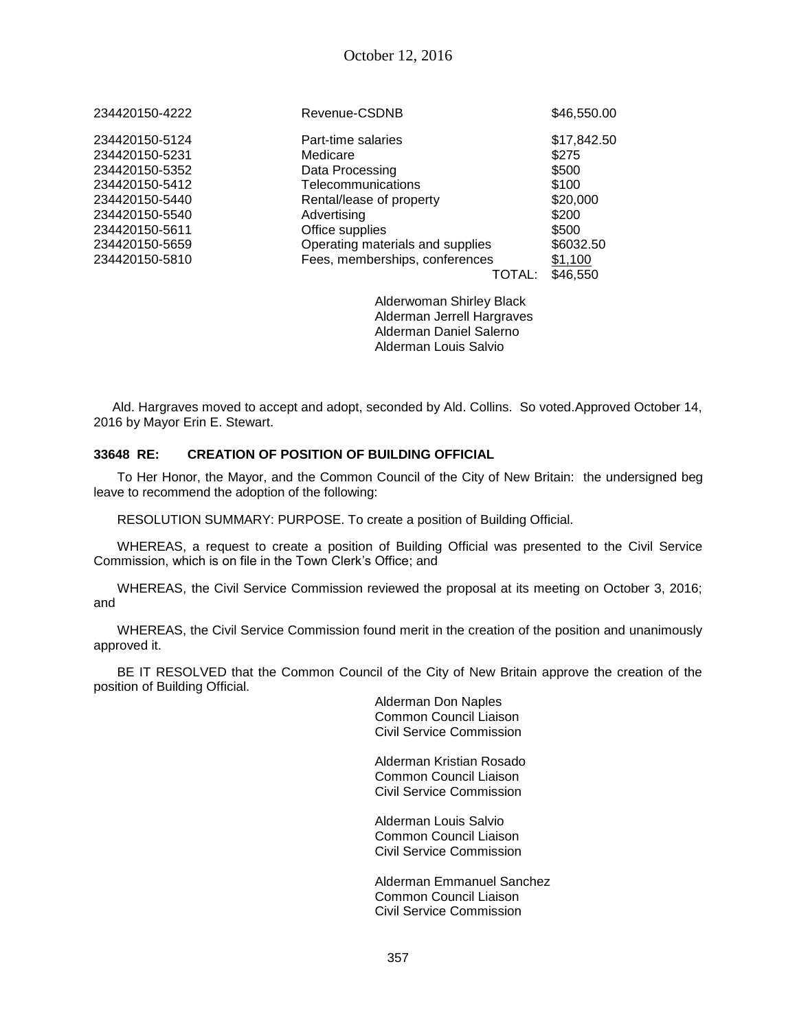| Revenue-CSDNB                    | \$46,550.00 |
|----------------------------------|-------------|
| Part-time salaries               | \$17,842.50 |
| Medicare                         | \$275       |
| Data Processing                  | \$500       |
| Telecommunications               | \$100       |
| Rental/lease of property         | \$20,000    |
| Advertising                      | \$200       |
| Office supplies                  | \$500       |
| Operating materials and supplies | \$6032.50   |
| Fees, memberships, conferences   | \$1,100     |
| TOTAL:                           | \$46,550    |
|                                  |             |

Alderwoman Shirley Black Alderman Jerrell Hargraves Alderman Daniel Salerno Alderman Louis Salvio

Ald. Hargraves moved to accept and adopt, seconded by Ald. Collins. So voted.Approved October 14, 2016 by Mayor Erin E. Stewart.

## **33648 RE: CREATION OF POSITION OF BUILDING OFFICIAL**

To Her Honor, the Mayor, and the Common Council of the City of New Britain: the undersigned beg leave to recommend the adoption of the following:

RESOLUTION SUMMARY: PURPOSE. To create a position of Building Official.

WHEREAS, a request to create a position of Building Official was presented to the Civil Service Commission, which is on file in the Town Clerk's Office; and

WHEREAS, the Civil Service Commission reviewed the proposal at its meeting on October 3, 2016; and

WHEREAS, the Civil Service Commission found merit in the creation of the position and unanimously approved it.

BE IT RESOLVED that the Common Council of the City of New Britain approve the creation of the position of Building Official.

> Alderman Don Naples Common Council Liaison Civil Service Commission

Alderman Kristian Rosado Common Council Liaison Civil Service Commission

Alderman Louis Salvio Common Council Liaison Civil Service Commission

Alderman Emmanuel Sanchez Common Council Liaison Civil Service Commission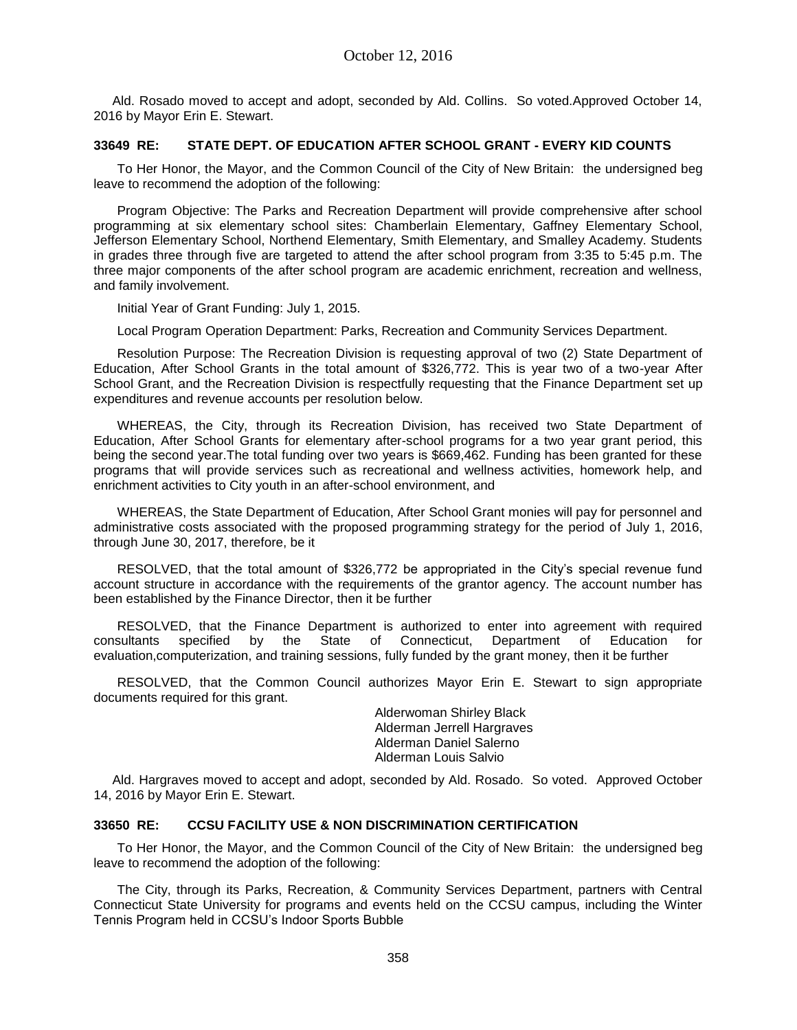Ald. Rosado moved to accept and adopt, seconded by Ald. Collins. So voted.Approved October 14, 2016 by Mayor Erin E. Stewart.

### **33649 RE: STATE DEPT. OF EDUCATION AFTER SCHOOL GRANT - EVERY KID COUNTS**

To Her Honor, the Mayor, and the Common Council of the City of New Britain: the undersigned beg leave to recommend the adoption of the following:

Program Objective: The Parks and Recreation Department will provide comprehensive after school programming at six elementary school sites: Chamberlain Elementary, Gaffney Elementary School, Jefferson Elementary School, Northend Elementary, Smith Elementary, and Smalley Academy. Students in grades three through five are targeted to attend the after school program from 3:35 to 5:45 p.m. The three major components of the after school program are academic enrichment, recreation and wellness, and family involvement.

Initial Year of Grant Funding: July 1, 2015.

Local Program Operation Department: Parks, Recreation and Community Services Department.

Resolution Purpose: The Recreation Division is requesting approval of two (2) State Department of Education, After School Grants in the total amount of \$326,772. This is year two of a two-year After School Grant, and the Recreation Division is respectfully requesting that the Finance Department set up expenditures and revenue accounts per resolution below.

WHEREAS, the City, through its Recreation Division, has received two State Department of Education, After School Grants for elementary after-school programs for a two year grant period, this being the second year.The total funding over two years is \$669,462. Funding has been granted for these programs that will provide services such as recreational and wellness activities, homework help, and enrichment activities to City youth in an after-school environment, and

WHEREAS, the State Department of Education, After School Grant monies will pay for personnel and administrative costs associated with the proposed programming strategy for the period of July 1, 2016, through June 30, 2017, therefore, be it

RESOLVED, that the total amount of \$326,772 be appropriated in the City's special revenue fund account structure in accordance with the requirements of the grantor agency. The account number has been established by the Finance Director, then it be further

RESOLVED, that the Finance Department is authorized to enter into agreement with required consultants specified by the State of Connecticut, Department of Education for evaluation,computerization, and training sessions, fully funded by the grant money, then it be further

RESOLVED, that the Common Council authorizes Mayor Erin E. Stewart to sign appropriate documents required for this grant.

> Alderwoman Shirley Black Alderman Jerrell Hargraves Alderman Daniel Salerno Alderman Louis Salvio

Ald. Hargraves moved to accept and adopt, seconded by Ald. Rosado. So voted. Approved October 14, 2016 by Mayor Erin E. Stewart.

## **33650 RE: CCSU FACILITY USE & NON DISCRIMINATION CERTIFICATION**

To Her Honor, the Mayor, and the Common Council of the City of New Britain: the undersigned beg leave to recommend the adoption of the following:

The City, through its Parks, Recreation, & Community Services Department, partners with Central Connecticut State University for programs and events held on the CCSU campus, including the Winter Tennis Program held in CCSU's Indoor Sports Bubble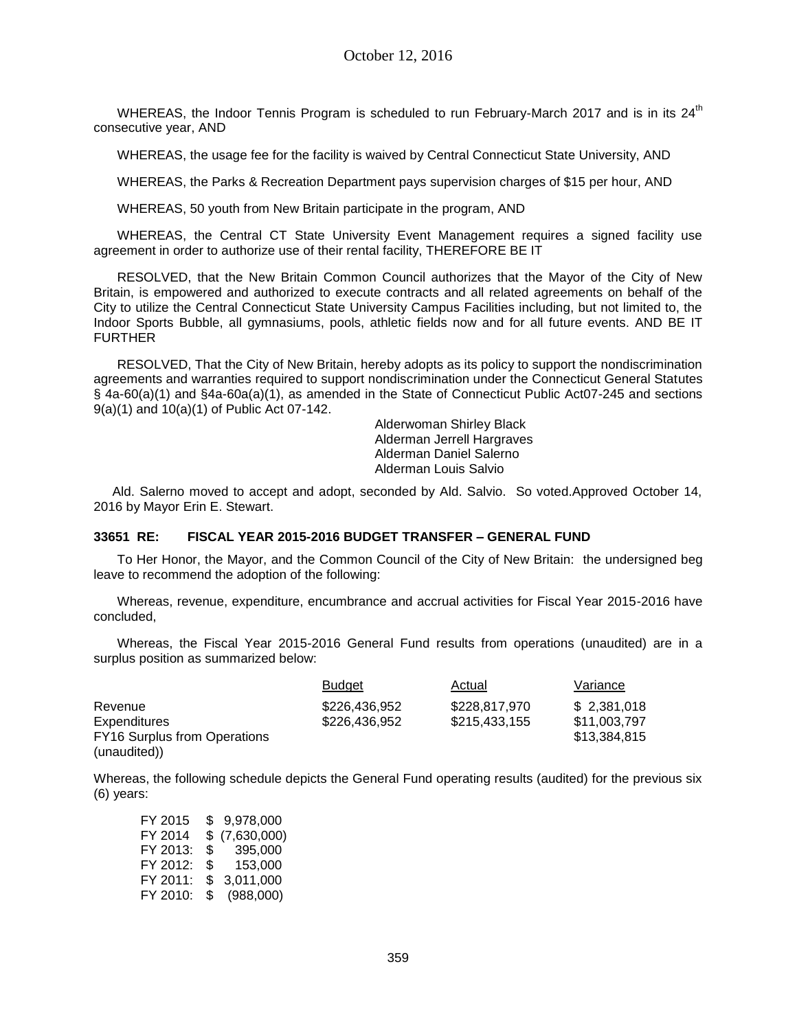WHEREAS, the Indoor Tennis Program is scheduled to run February-March 2017 and is in its 24<sup>th</sup> consecutive year, AND

WHEREAS, the usage fee for the facility is waived by Central Connecticut State University, AND

WHEREAS, the Parks & Recreation Department pays supervision charges of \$15 per hour, AND

WHEREAS, 50 youth from New Britain participate in the program, AND

WHEREAS, the Central CT State University Event Management requires a signed facility use agreement in order to authorize use of their rental facility, THEREFORE BE IT

RESOLVED, that the New Britain Common Council authorizes that the Mayor of the City of New Britain, is empowered and authorized to execute contracts and all related agreements on behalf of the City to utilize the Central Connecticut State University Campus Facilities including, but not limited to, the Indoor Sports Bubble, all gymnasiums, pools, athletic fields now and for all future events. AND BE IT FURTHER

RESOLVED, That the City of New Britain, hereby adopts as its policy to support the nondiscrimination agreements and warranties required to support nondiscrimination under the Connecticut General Statutes § 4a-60(a)(1) and §4a-60a(a)(1), as amended in the State of Connecticut Public Act07-245 and sections 9(a)(1) and 10(a)(1) of Public Act 07-142.

Alderwoman Shirley Black Alderman Jerrell Hargraves Alderman Daniel Salerno Alderman Louis Salvio

Ald. Salerno moved to accept and adopt, seconded by Ald. Salvio. So voted.Approved October 14, 2016 by Mayor Erin E. Stewart.

## **33651 RE: FISCAL YEAR 2015-2016 BUDGET TRANSFER – GENERAL FUND**

To Her Honor, the Mayor, and the Common Council of the City of New Britain: the undersigned beg leave to recommend the adoption of the following:

Whereas, revenue, expenditure, encumbrance and accrual activities for Fiscal Year 2015-2016 have concluded,

Whereas, the Fiscal Year 2015-2016 General Fund results from operations (unaudited) are in a surplus position as summarized below:

|                                     | Budget        | Actual        | Variance     |
|-------------------------------------|---------------|---------------|--------------|
| Revenue                             | \$226,436,952 | \$228,817,970 | \$2,381,018  |
| <b>Expenditures</b>                 | \$226,436,952 | \$215,433,155 | \$11,003,797 |
| <b>FY16 Surplus from Operations</b> |               |               | \$13,384,815 |
| (unaudited))                        |               |               |              |

Whereas, the following schedule depicts the General Fund operating results (audited) for the previous six (6) years:

| FY 2015  | SS. | 9.978.000   |
|----------|-----|-------------|
| FY 2014  | \$  | (7,630,000) |
| FY 2013: | \$  | 395,000     |
| FY 2012: | \$  | 153.000     |
| FY 2011: | S   | 3,011,000   |
| FY 2010: | \$  | (988,000)   |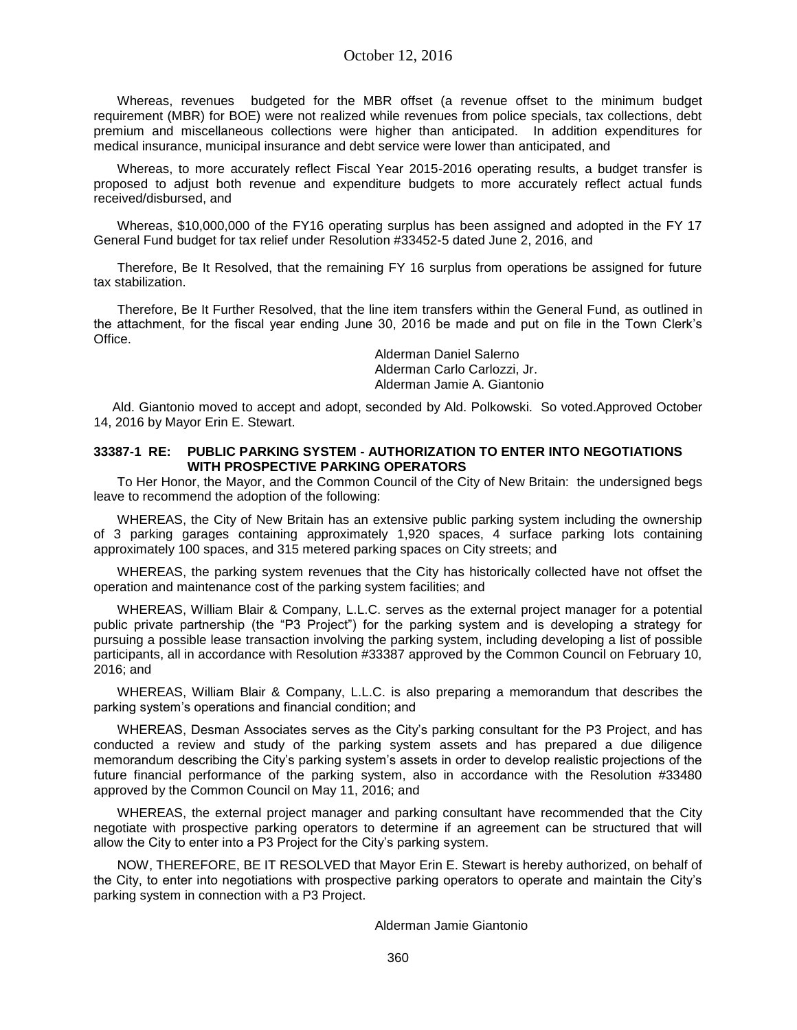Whereas, revenues budgeted for the MBR offset (a revenue offset to the minimum budget requirement (MBR) for BOE) were not realized while revenues from police specials, tax collections, debt premium and miscellaneous collections were higher than anticipated. In addition expenditures for medical insurance, municipal insurance and debt service were lower than anticipated, and

Whereas, to more accurately reflect Fiscal Year 2015-2016 operating results, a budget transfer is proposed to adjust both revenue and expenditure budgets to more accurately reflect actual funds received/disbursed, and

Whereas, \$10,000,000 of the FY16 operating surplus has been assigned and adopted in the FY 17 General Fund budget for tax relief under Resolution #33452-5 dated June 2, 2016, and

Therefore, Be It Resolved, that the remaining FY 16 surplus from operations be assigned for future tax stabilization.

Therefore, Be It Further Resolved, that the line item transfers within the General Fund, as outlined in the attachment, for the fiscal year ending June 30, 2016 be made and put on file in the Town Clerk's Office.

> Alderman Daniel Salerno Alderman Carlo Carlozzi, Jr. Alderman Jamie A. Giantonio

Ald. Giantonio moved to accept and adopt, seconded by Ald. Polkowski. So voted.Approved October 14, 2016 by Mayor Erin E. Stewart.

### **33387-1 RE: PUBLIC PARKING SYSTEM - AUTHORIZATION TO ENTER INTO NEGOTIATIONS WITH PROSPECTIVE PARKING OPERATORS**

To Her Honor, the Mayor, and the Common Council of the City of New Britain: the undersigned begs leave to recommend the adoption of the following:

WHEREAS, the City of New Britain has an extensive public parking system including the ownership of 3 parking garages containing approximately 1,920 spaces, 4 surface parking lots containing approximately 100 spaces, and 315 metered parking spaces on City streets; and

WHEREAS, the parking system revenues that the City has historically collected have not offset the operation and maintenance cost of the parking system facilities; and

WHEREAS, William Blair & Company, L.L.C. serves as the external project manager for a potential public private partnership (the "P3 Project") for the parking system and is developing a strategy for pursuing a possible lease transaction involving the parking system, including developing a list of possible participants, all in accordance with Resolution #33387 approved by the Common Council on February 10, 2016; and

WHEREAS, William Blair & Company, L.L.C. is also preparing a memorandum that describes the parking system's operations and financial condition; and

WHEREAS, Desman Associates serves as the City's parking consultant for the P3 Project, and has conducted a review and study of the parking system assets and has prepared a due diligence memorandum describing the City's parking system's assets in order to develop realistic projections of the future financial performance of the parking system, also in accordance with the Resolution #33480 approved by the Common Council on May 11, 2016; and

WHEREAS, the external project manager and parking consultant have recommended that the City negotiate with prospective parking operators to determine if an agreement can be structured that will allow the City to enter into a P3 Project for the City's parking system.

NOW, THEREFORE, BE IT RESOLVED that Mayor Erin E. Stewart is hereby authorized, on behalf of the City, to enter into negotiations with prospective parking operators to operate and maintain the City's parking system in connection with a P3 Project.

Alderman Jamie Giantonio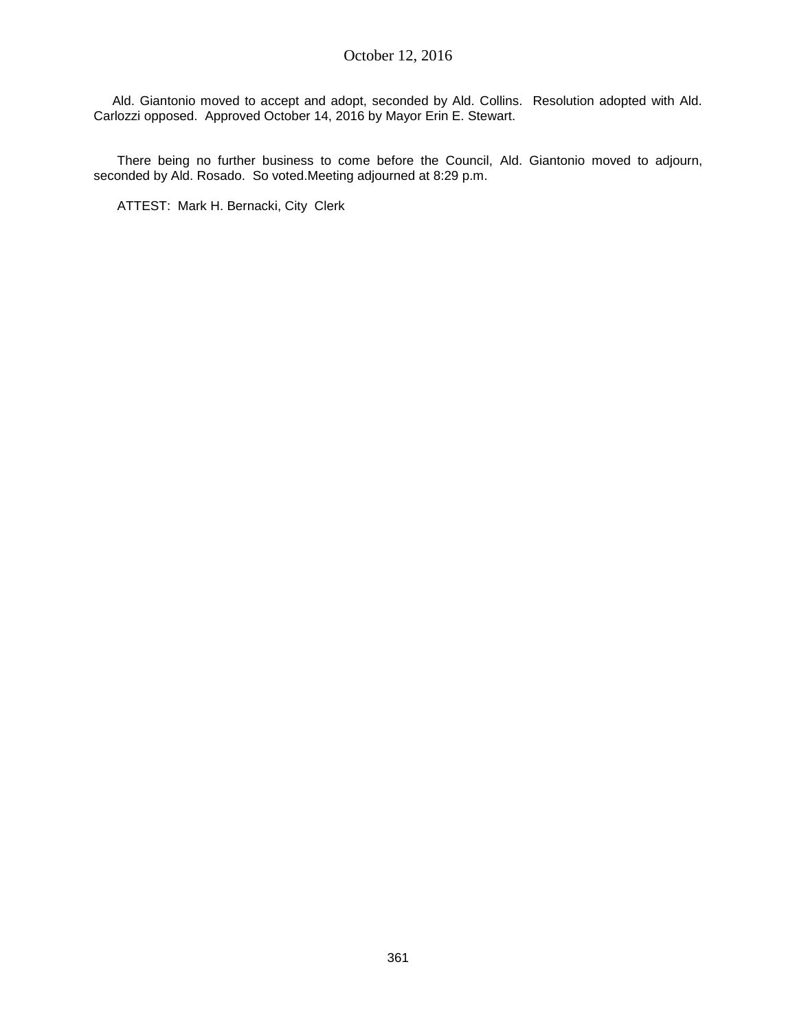Ald. Giantonio moved to accept and adopt, seconded by Ald. Collins. Resolution adopted with Ald. Carlozzi opposed. Approved October 14, 2016 by Mayor Erin E. Stewart.

There being no further business to come before the Council, Ald. Giantonio moved to adjourn, seconded by Ald. Rosado. So voted.Meeting adjourned at 8:29 p.m.

ATTEST: Mark H. Bernacki, City Clerk